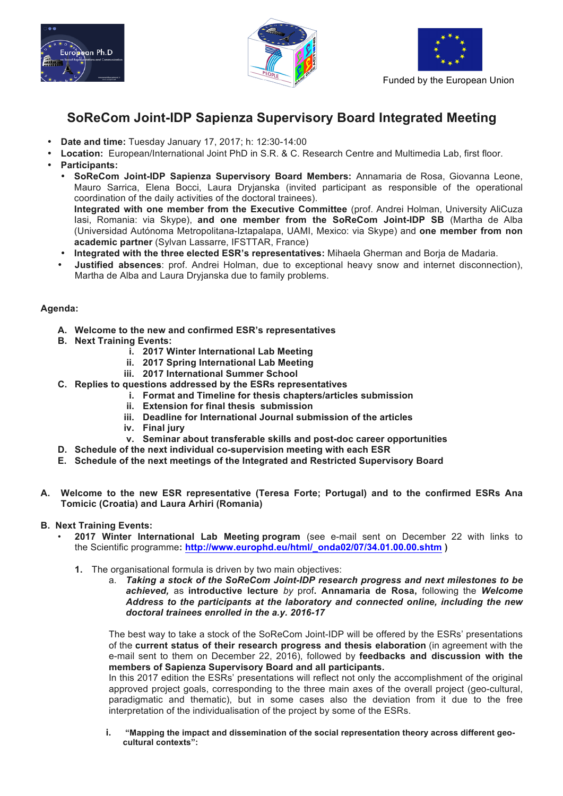





# **SoReCom Joint-IDP Sapienza Supervisory Board Integrated Meeting**

- **Date and time:** Tuesday January 17, 2017; h: 12:30-14:00
- **Location:** European/International Joint PhD in S.R. & C. Research Centre and Multimedia Lab, first floor.
- **Participants:**
	- **SoReCom Joint-IDP Sapienza Supervisory Board Members:** Annamaria de Rosa, Giovanna Leone, Mauro Sarrica, Elena Bocci, Laura Dryjanska (invited participant as responsible of the operational coordination of the daily activities of the doctoral trainees). **Integrated with one member from the Executive Committee** (prof. Andrei Holman, University AliCuza Iasi, Romania: via Skype), **and one member from the SoReCom Joint-IDP SB** (Martha de Alba (Universidad Autónoma Metropolitana-Iztapalapa, UAMI, Mexico: via Skype) and **one member from non academic partner** (Sylvan Lassarre, IFSTTAR, France)
	- **Integrated with the three elected ESR's representatives:** Mihaela Gherman and Borja de Madaria.
	- **Justified absences**: prof. Andrei Holman, due to exceptional heavy snow and internet disconnection), Martha de Alba and Laura Dryjanska due to family problems.

## **Agenda:**

- **A. Welcome to the new and confirmed ESR's representatives**
- **B. Next Training Events:**
	- **i. 2017 Winter International Lab Meeting**
	- **ii. 2017 Spring International Lab Meeting**
	- **iii. 2017 International Summer School**
- **C. Replies to questions addressed by the ESRs representatives** 
	- **i. Format and Timeline for thesis chapters/articles submission**
		- **ii. Extension for final thesis submission**
		- **iii. Deadline for International Journal submission of the articles**
		- **iv. Final jury**
		- **v. Seminar about transferable skills and post-doc career opportunities**
- **D. Schedule of the next individual co-supervision meeting with each ESR**
- **E. Schedule of the next meetings of the Integrated and Restricted Supervisory Board**
- **A. Welcome to the new ESR representative (Teresa Forte; Portugal) and to the confirmed ESRs Ana Tomicic (Croatia) and Laura Arhiri (Romania)**

## **B. Next Training Events:**

- **2017 Winter International Lab Meeting program** (see e-mail sent on December 22 with links to the Scientific programme**: http://www.europhd.eu/html/\_onda02/07/34.01.00.00.shtm )**
	- **1.** The organisational formula is driven by two main objectives:
		- a. *Taking a stock of the SoReCom Joint-IDP research progress and next milestones to be achieved,* as **introductive lecture** *by* prof**. Annamaria de Rosa,** following the *Welcome Address to the participants at the laboratory and connected online, including the new doctoral trainees enrolled in the a.y. 2016-17*

The best way to take a stock of the SoReCom Joint-IDP will be offered by the ESRs' presentations of the **current status of their research progress and thesis elaboration** (in agreement with the e-mail sent to them on December 22, 2016), followed by **feedbacks and discussion with the members of Sapienza Supervisory Board and all participants.**

In this 2017 edition the ESRs' presentations will reflect not only the accomplishment of the original approved project goals, corresponding to the three main axes of the overall project (geo-cultural, paradigmatic and thematic), but in some cases also the deviation from it due to the free interpretation of the individualisation of the project by some of the ESRs.

**i. "Mapping the impact and dissemination of the social representation theory across different geocultural contexts":**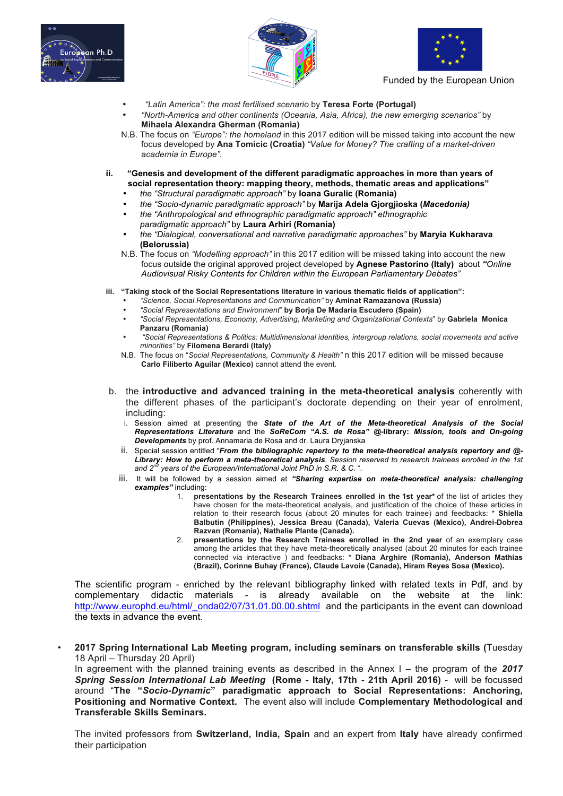





- *"Latin America": the most fertilised scenario* by **Teresa Forte (Portugal)**
- *"North-America and other continents (Oceania, Asia, Africa), the new emerging scenarios"* by **Mihaela Alexandra Gherman (Romania)**
- N.B. The focus on *"Europe": the homeland* in this 2017 edition will be missed taking into account the new focus developed by **Ana Tomicic (Croatia)** *"Value for Money? The crafting of a market-driven academia in Europe".*
- **ii. "Genesis and development of the different paradigmatic approaches in more than years of social representation theory: mapping theory, methods, thematic areas and applications"**
	- *the "Structural paradigmatic approach"* by **Ioana Guralic (Romania)**
	- *the "Socio-dynamic paradigmatic approach"* by **Marija Adela Gjorgjioska (***Macedonia)*
	- *the "Anthropological and ethnographic paradigmatic approach" ethnographic paradigmatic approach"* by **Laura Arhiri (Romania)**
	- *the "Dialogical, conversational and narrative paradigmatic approaches"* by **Maryia Kukharava (Belorussia)**
	- N.B. The focus on *"Modelling approach"* in this 2017 edition will be missed taking into account the new focus outside the original approved project developed by **Agnese Pastorino (Italy)** about *"Online Audiovisual Risky Contents for Children within the European Parliamentary Debates"*
- **iii. "Taking stock of the Social Representations literature in various thematic fields of application":**
	- *"Science, Social Representations and Communication"* by **Aminat Ramazanova (Russia)**
	- *"Social Representations and Environment*" **by Borja De Madaria Escudero (Spain)**
	- *"Social Representations, Economy, Advertising, Marketing and Organizational Contexts*" b*y* **Gabriela Monica Panzaru (Romania)**
	- *"Social Representations & Politics: Multidimensional identities, intergroup relations, social movements and active minorities"* by **Filomena Berardi (Italy)**
	- N.B. The focus on "*Social Representations, Community & Health"* n this 2017 edition will be missed because **Carlo Filiberto Aguilar (Mexico)** cannot attend the event.
- b. the **introductive and advanced training in the meta-theoretical analysis** coherently with the different phases of the participant's doctorate depending on their year of enrolment, including:
	- i. Session aimed at presenting the *State of the Art of the Meta-theoretical Analysis of the Social Representations Literature* and the *SoReCom "A.S. de Rosa" @-***library:** *Mission, tools and On-going Developments* by prof. Annamaria de Rosa and dr. Laura Dryjanska
	- ii. Special session entitled "*From the bibliographic repertory to the meta-theoretical analysis repertory and @- Library: How to perform a meta-theoretical analysis*. *Session reserved to research trainees enrolled in the 1st and 2nd years of the European/International Joint PhD in S.R. & C.* ".
	- iii. It will be followed by a session aimed at *"Sharing expertise on meta-theoretical analysis: challenging examples"* including:
		- 1. **presentations by the Research Trainees enrolled in the 1st year\*** of the list of articles they have chosen for the meta-theoretical analysis, and justification of the choice of these articles in relation to their research focus (about 20 minutes for each trainee) and feedbacks: \* **Shiella Balbutin (Philippines), Jessica Breau (Canada), Valeria Cuevas (Mexico), Andrei-Dobrea Razvan (Romania), Nathalie Plante (Canada).**
		- 2. **presentations by the Research Trainees enrolled in the 2nd year** of an exemplary case among the articles that they have meta-theoretically analysed (about 20 minutes for each trainee connected via interactive ) and feedbacks: \* **Diana Arghire (Romania), Anderson Mathias (Brazil), Corinne Buhay (France), Claude Lavoie (Canada), Hiram Reyes Sosa (Mexico).**

The scientific program - enriched by the relevant bibliography linked with related texts in Pdf, and by complementary didactic materials - is already available on the website at the link: http://www.europhd.eu/html/\_onda02/07/31.01.00.00.shtml and the participants in the event can download the texts in advance the event.

• **2017 Spring International Lab Meeting program, including seminars on transferable skills (**Tuesday 18 April – Thursday 20 April)

In agreement with the planned training events as described in the Annex I – the program of th*e 2017 Spring Session International Lab Meeting* **(Rome - Italy, 17th - 21th April 2016)** - will be focussed around "**The "***Socio-Dynamic***" paradigmatic approach to Social Representations: Anchoring, Positioning and Normative Context.** The event also will include **Complementary Methodological and Transferable Skills Seminars.**

The invited professors from **Switzerland, India, Spain** and an expert from **Italy** have already confirmed their participation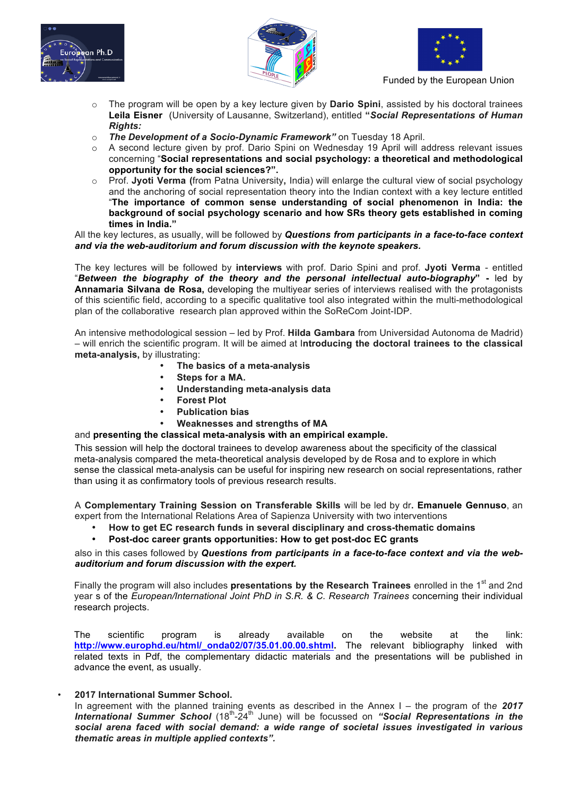





- o The program will be open by a key lecture given by **Dario Spini**, assisted by his doctoral trainees **Leila Eisner** (University of Lausanne, Switzerland), entitled **"***Social Representations of Human Rights:*
- o *The Development of a Socio-Dynamic Framework"* on Tuesday 18 April.
- A second lecture given by prof. Dario Spini on Wednesday 19 April will address relevant issues concerning "**Social representations and social psychology: a theoretical and methodological opportunity for the social sciences?".**
- o Prof. **Jyoti Verma (**from Patna University**,** India) will enlarge the cultural view of social psychology and the anchoring of social representation theory into the Indian context with a key lecture entitled "**The importance of common sense understanding of social phenomenon in India: the background of social psychology scenario and how SRs theory gets established in coming times in India."**

All the key lectures, as usually, will be followed by *Questions from participants in a face-to-face context and via the web-auditorium and forum discussion with the keynote speakers.*

The key lectures will be followed by **interviews** with prof. Dario Spini and prof. **Jyoti Verma** - entitled "*Between the biography of the theory and the personal intellectual auto-biography***" -** led by **Annamaria Silvana de Rosa,** developing the multiyear series of interviews realised with the protagonists of this scientific field, according to a specific qualitative tool also integrated within the multi-methodological plan of the collaborative research plan approved within the SoReCom Joint-IDP.

An intensive methodological session – led by Prof. **Hilda Gambara** from Universidad Autonoma de Madrid) – will enrich the scientific program. It will be aimed at I**ntroducing the doctoral trainees to the classical meta-analysis,** by illustrating:

- **The basics of a meta-analysis**
- **Steps for a MA.**
- **Understanding meta-analysis data**
- **Forest Plot**
- **Publication bias**
- **Weaknesses and strengths of MA**

## and **presenting the classical meta-analysis with an empirical example.**

This session will help the doctoral trainees to develop awareness about the specificity of the classical meta-analysis compared the meta-theoretical analysis developed by de Rosa and to explore in which sense the classical meta-analysis can be useful for inspiring new research on social representations, rather than using it as confirmatory tools of previous research results.

A **Complementary Training Session on Transferable Skills** will be led by dr**. Emanuele Gennuso**, an expert from the International Relations Area of Sapienza University with two interventions

• **How to get EC research funds in several disciplinary and cross-thematic domains**

## • **Post-doc career grants opportunities: How to get post-doc EC grants**

## also in this cases followed by *Questions from participants in a face-to-face context and via the webauditorium and forum discussion with the expert.*

Finally the program will also includes **presentations by the Research Trainees** enrolled in the 1<sup>st</sup> and 2nd year s of the *European/International Joint PhD in S.R. & C. Research Trainees* concerning their individual research projects.

The scientific program is already available on the website at the link: **http://www.europhd.eu/html/\_onda02/07/35.01.00.00.shtml.** The relevant bibliography linked with related texts in Pdf, the complementary didactic materials and the presentations will be published in advance the event, as usually.

• **2017 International Summer School.**

In agreement with the planned training events as described in the Annex I – the program of th*e 2017 International Summer School* (18th-24th June) will be focussed on *"Social Representations in the social arena faced with social demand: a wide range of societal issues investigated in various thematic areas in multiple applied contexts".*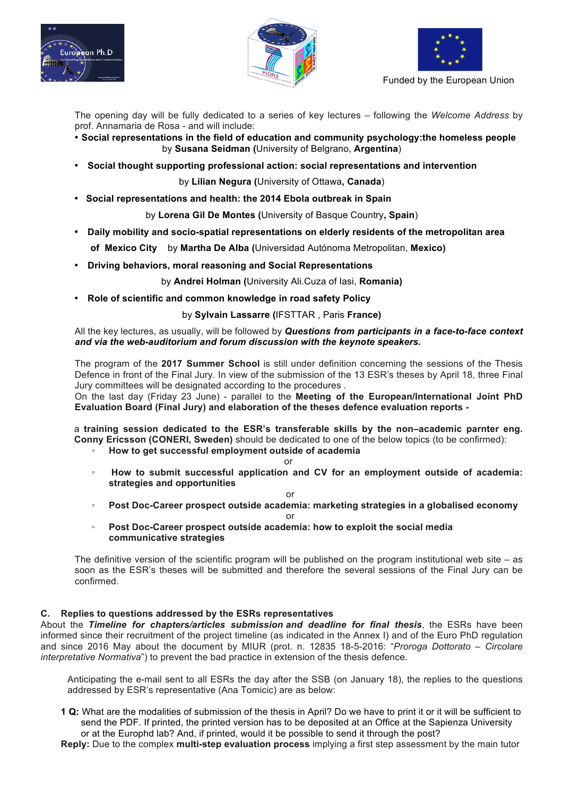





The opening day will be fully dedicated to a series of key lectures – following the *Welcome Address* by prof. Annamaria de Rosa - and will include:

- **Social representations in the field of education and community psychology:the homeless people** by **Susana Seidman (**University of Belgrano, **Argentina**)
- **Social thought supporting professional action: social representations and intervention**

by **Lilian Negura (**University of Ottawa**, Canada**)

• **Social representations and health: the 2014 Ebola outbreak in Spain**

by **Lorena Gil De Montes (**University of Basque Country**, Spain**)

• **Daily mobility and socio-spatial representations on elderly residents of the metropolitan area** 

 **of Mexico City** by **Martha De Alba (**Universidad Autónoma Metropolitan, **Mexico)**

• **Driving behaviors, moral reasoning and Social Representations**

by **Andrei Holman (**University Ali.Cuza of Iasi, **Romania)**

• **Role of scientific and common knowledge in road safety Policy**

### by **Sylvain Lassarre (**IFSTTAR , Paris **France)**

All the key lectures, as usually, will be followed by *Questions from participants in a face-to-face context and via the web-auditorium and forum discussion with the keynote speakers.*

The program of the **2017 Summer School** is still under definition concerning the sessions of the Thesis Defence in front of the Final Jury. In view of the submission of the 13 ESR's theses by April 18, three Final Jury committees will be designated according to the procedures .

On the last day (Friday 23 June) - parallel to the **Meeting of the European/International Joint PhD Evaluation Board (Final Jury) and elaboration of the theses defence evaluation reports -**

a **training session dedicated to the ESR's transferable skills by the non–academic parnter eng. Conny Ericsson (CONERI, Sweden)** should be dedicated to one of the below topics (to be confirmed):

- **How to get successful employment outside of academia**
- or ◦ **How to submit successful application and CV for an employment outside of academia: strategies and opportunities**

#### or

- **Post Doc-Career prospect outside academia: marketing strategies in a globalised economy**  or
- **Post Doc-Career prospect outside academia: how to exploit the social media communicative strategies**

The definitive version of the scientific program will be published on the program institutional web site – as soon as the ESR's theses will be submitted and therefore the several sessions of the Final Jury can be confirmed.

### **C. Replies to questions addressed by the ESRs representatives**

About the *Timeline for chapters/articles submission and deadline for final thesis*, the ESRs have been informed since their recruitment of the project timeline (as indicated in the Annex I) and of the Euro PhD regulation and since 2016 May about the document by MIUR (prot. n. 12835 18-5-2016: "*Proroga Dottorato – Circolare interpretative Normativa*") to prevent the bad practice in extension of the thesis defence.

Anticipating the e-mail sent to all ESRs the day after the SSB (on January 18), the replies to the questions addressed by ESR's representative (Ana Tomicic) are as below:

**1 Q:** What are the modalities of submission of the thesis in April? Do we have to print it or it will be sufficient to send the PDF. If printed, the printed version has to be deposited at an Office at the Sapienza University or at the Europhd lab? And, if printed, would it be possible to send it through the post?

**Reply:** Due to the complex **multi-step evaluation process** implying a first step assessment by the main tutor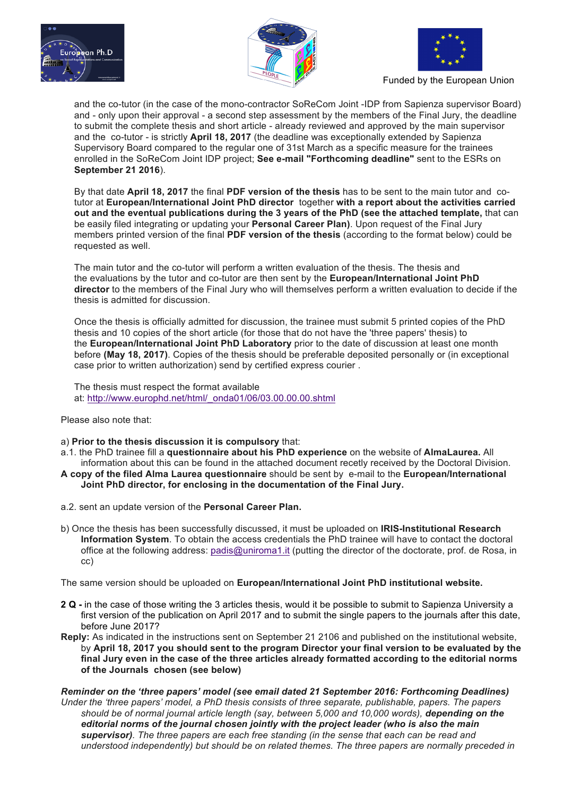





and the co-tutor (in the case of the mono-contractor SoReCom Joint -IDP from Sapienza supervisor Board) and - only upon their approval - a second step assessment by the members of the Final Jury, the deadline to submit the complete thesis and short article - already reviewed and approved by the main supervisor and the co-tutor - is strictly **April 18, 2017** (the deadline was exceptionally extended by Sapienza Supervisory Board compared to the regular one of 31st March as a specific measure for the trainees enrolled in the SoReCom Joint IDP project; **See e-mail "Forthcoming deadline"** sent to the ESRs on **September 21 2016**).

By that date **April 18, 2017** the final **PDF version of the thesis** has to be sent to the main tutor and cotutor at **European/International Joint PhD director** together **with a report about the activities carried out and the eventual publications during the 3 years of the PhD (see the attached template,** that can be easily filed integrating or updating your **Personal Career Plan)**. Upon request of the Final Jury members printed version of the final **PDF version of the thesis** (according to the format below) could be requested as well.

The main tutor and the co-tutor will perform a written evaluation of the thesis. The thesis and the evaluations by the tutor and co-tutor are then sent by the **European/International Joint PhD director** to the members of the Final Jury who will themselves perform a written evaluation to decide if the thesis is admitted for discussion.

Once the thesis is officially admitted for discussion, the trainee must submit 5 printed copies of the PhD thesis and 10 copies of the short article (for those that do not have the 'three papers' thesis) to the **European/International Joint PhD Laboratory** prior to the date of discussion at least one month before **(May 18, 2017)**. Copies of the thesis should be preferable deposited personally or (in exceptional case prior to written authorization) send by certified express courier .

The thesis must respect the format available at: http://www.europhd.net/html/\_onda01/06/03.00.00.00.shtml

Please also note that:

- a) **Prior to the thesis discussion it is compulsory** that:
- a.1. the PhD trainee fill a **questionnaire about his PhD experience** on the website of **AlmaLaurea.** All information about this can be found in the attached document recetly received by the Doctoral Division.
- **A copy of the filed Alma Laurea questionnaire** should be sent by e-mail to the **European/International Joint PhD director, for enclosing in the documentation of the Final Jury.**
- a.2. sent an update version of the **Personal Career Plan.**
- b) Once the thesis has been successfully discussed, it must be uploaded on **IRIS-Institutional Research Information System**. To obtain the access credentials the PhD trainee will have to contact the doctoral office at the following address: padis@uniroma1.it (putting the director of the doctorate, prof. de Rosa, in cc)

The same version should be uploaded on **European/International Joint PhD institutional website.**

- **2 Q -** in the case of those writing the 3 articles thesis, would it be possible to submit to Sapienza University a first version of the publication on April 2017 and to submit the single papers to the journals after this date, before June 2017?
- **Reply:** As indicated in the instructions sent on September 21 2106 and published on the institutional website, by **April 18, 2017 you should sent to the program Director your final version to be evaluated by the final Jury even in the case of the three articles already formatted according to the editorial norms of the Journals chosen (see below)**

*Reminder on the 'three papers' model (see email dated 21 September 2016: Forthcoming Deadlines) Under the 'three papers' model, a PhD thesis consists of three separate, publishable, papers. The papers should be of normal journal article length (say, between 5,000 and 10,000 words), depending on the editorial norms of the journal chosen jointly with the project leader (who is also the main supervisor). The three papers are each free standing (in the sense that each can be read and understood independently) but should be on related themes. The three papers are normally preceded in*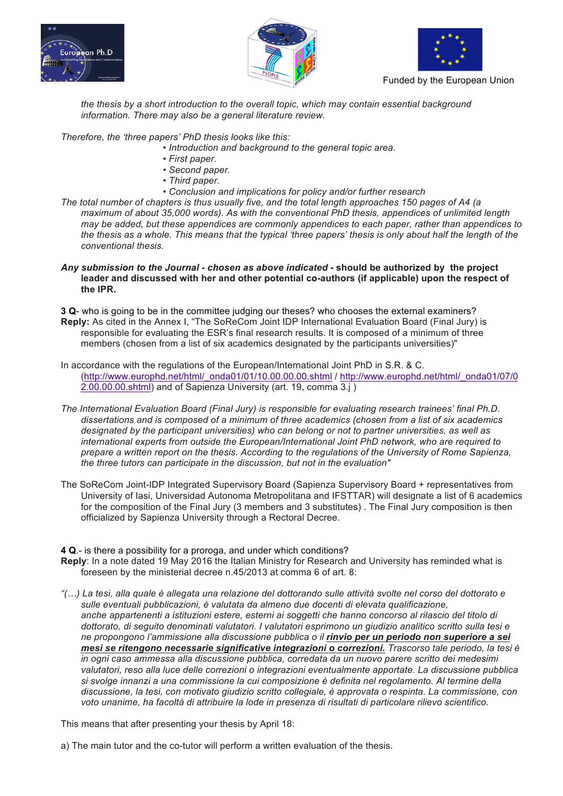





*the thesis by a short introduction to the overall topic, which may contain essential background information. There may also be a general literature review.*

*Therefore, the 'three papers' PhD thesis looks like this:*

- *Introduction and background to the general topic area.*
- *• First paper.*
- *• Second paper.*
- *• Third paper.*
- *• Conclusion and implications for policy and/or further research*

*The total number of chapters is thus usually five, and the total length approaches 150 pages of A4 (a maximum of about 35,000 words). As with the conventional PhD thesis, appendices of unlimited length may be added, but these appendices are commonly appendices to each paper, rather than appendices to the thesis as a whole. This means that the typical 'three papers' thesis is only about half the length of the conventional thesis.*

*Any submission to the Journal - chosen as above indicated* **- should be authorized by the project leader and discussed with her and other potential co-authors (if applicable) upon the respect of the IPR.**

**3 Q**- who is going to be in the committee judging our theses? who chooses the external examiners? **Reply:** As cited in the Annex I, "The SoReCom Joint IDP International Evaluation Board (Final Jury) is responsible for evaluating the ESR's final research results. It is composed of a minimum of three members (chosen from a list of six academics designated by the participants universities)"

In accordance with the regulations of the European/International Joint PhD in S.R. & C. (http://www.europhd.net/html/\_onda01/01/10.00.00.00.shtml / http://www.europhd.net/html/\_onda01/07/0 2.00.00.00.shtml) and of Sapienza University (art. 19, comma 3.j )

- *The International Evaluation Board (Final Jury) is responsible for evaluating research trainees' final Ph.D. dissertations and is composed of a minimum of three academics (chosen from a list of six academics designated by the participant universities) who can belong or not to partner universities, as well as international experts from outside the European/International Joint PhD network, who are required to prepare a written report on the thesis. According to the regulations of the University of Rome Sapienza, the three tutors can participate in the discussion, but not in the evaluation"*
- The SoReCom Joint-IDP Integrated Supervisory Board (Sapienza Supervisory Board + representatives from University of Iasi, Universidad Autonoma Metropolitana and IFSTTAR) will designate a list of 6 academics for the composition of the Final Jury (3 members and 3 substitutes) . The Final Jury composition is then officialized by Sapienza University through a Rectoral Decree.

**4 Q**.- is there a possibility for a proroga, and under which conditions?

- **Reply**: In a note dated 19 May 2016 the Italian Ministry for Research and University has reminded what is foreseen by the ministerial decree n.45/2013 at comma 6 of art. 8:
- *"(…) La tesi, alla quale è allegata una relazione del dottorando sulle attività svolte nel corso del dottorato e sulle eventuali pubblicazioni, è valutata da almeno due docenti di elevata qualificazione, anche appartenenti a istituzioni estere, esterni ai soggetti che hanno concorso al rilascio del titolo di dottorato, di seguito denominati valutatori. I valutatori esprimono un giudizio analitico scritto sulla tesi e ne propongono l'ammissione alla discussione pubblica o il rinvio per un periodo non superiore a sei mesi se ritengono necessarie significative integrazioni o correzioni. Trascorso tale periodo, la tesi è in ogni caso ammessa alla discussione pubblica, corredata da un nuovo parere scritto dei medesimi valutatori, reso alla luce delle correzioni o integrazioni eventualmente apportate. La discussione pubblica si svolge innanzi a una commissione la cui composizione è definita nel regolamento. Al termine della discussione, la tesi, con motivato giudizio scritto collegiale, è approvata o respinta. La commissione, con voto unanime, ha facoltà di attribuire la lode in presenza di risultati di particolare rilievo scientifico.*

This means that after presenting your thesis by April 18:

a) The main tutor and the co-tutor will perform a written evaluation of the thesis.